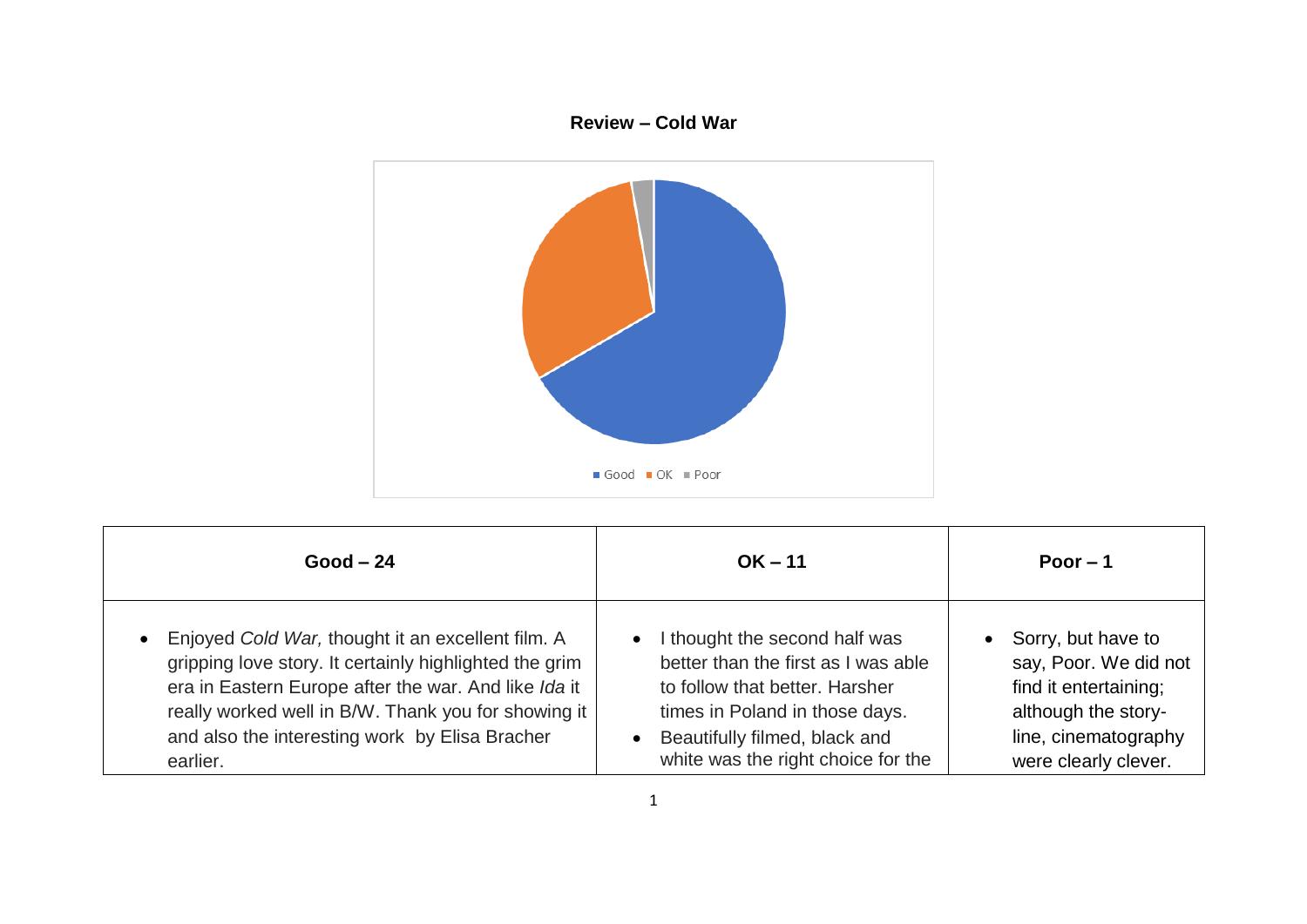## **Review – Cold War**



| $Good - 24$                                            | $OK - 11$                           | Poor $-1$             |
|--------------------------------------------------------|-------------------------------------|-----------------------|
| Enjoyed Cold War, thought it an excellent film. A      | I thought the second half was       | Sorry, but have to    |
| $\bullet$                                              | $\bullet$                           | $\bullet$             |
| gripping love story. It certainly highlighted the grim | better than the first as I was able | say, Poor. We did not |
| era in Eastern Europe after the war. And like Ida it   | to follow that better. Harsher      | find it entertaining; |
| really worked well in B/W. Thank you for showing it    | times in Poland in those days.      | although the story-   |
| and also the interesting work by Elisa Bracher         | Beautifully filmed, black and       | line, cinematography  |
| earlier.                                               | white was the right choice for the  | were clearly clever.  |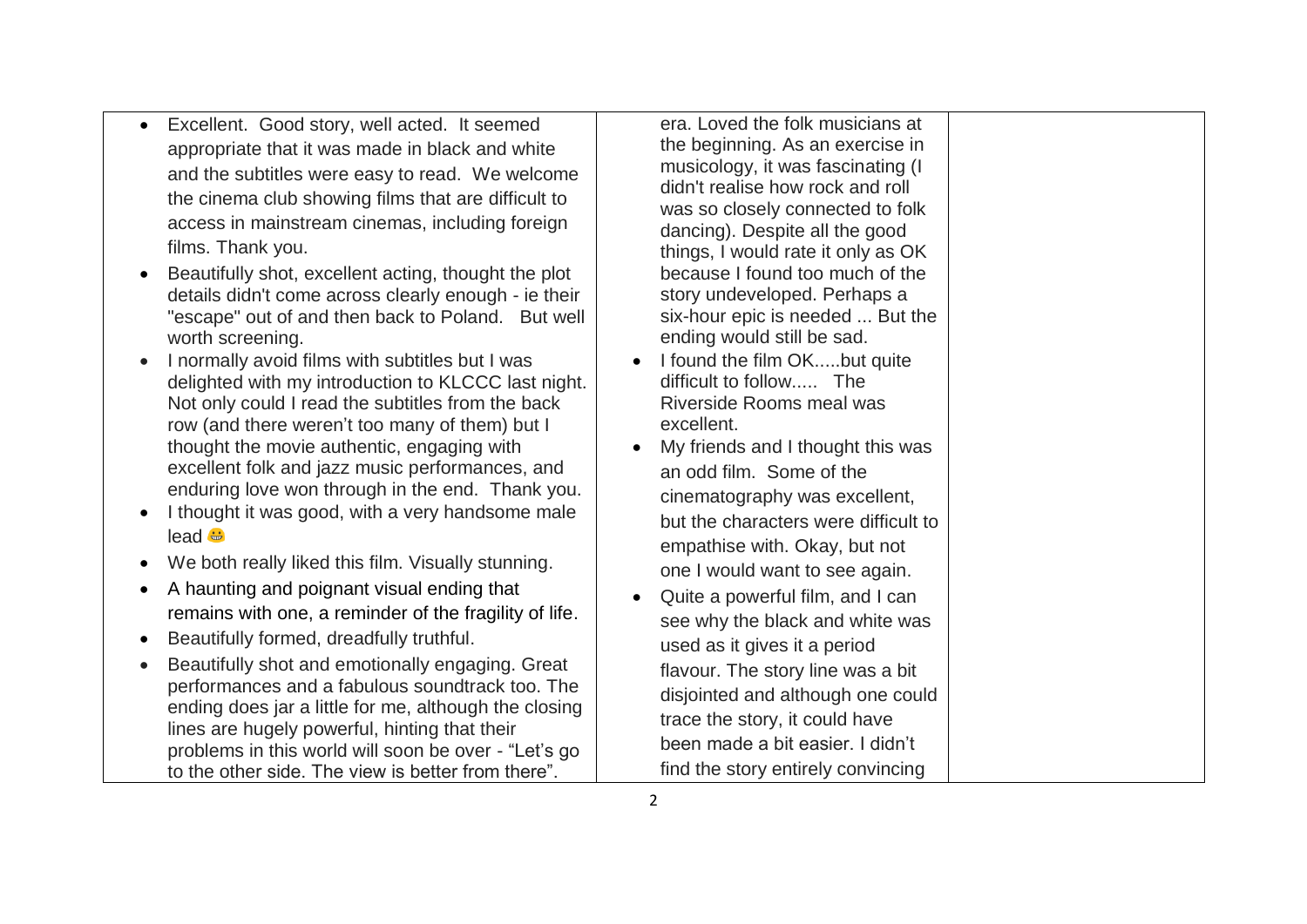- Excellent. Good story, well acted. It seemed appropriate that it was made in black and white and the subtitles were easy to read. We welcome the cinema club showing films that are difficult to access in mainstream cinemas, including foreign films. Thank you.
- Beautifully shot, excellent acting, thought the plot details didn't come across clearly enough - ie their "escape" out of and then back to Poland. But well worth screening.
- I normally avoid films with subtitles but I was delighted with my introduction to KLCCC last night. Not only could I read the subtitles from the back row (and there weren't too many of them) but I thought the movie authentic, engaging with excellent folk and jazz music performances, and enduring love won through in the end. Thank you.
- I thought it was good, with a very handsome male lead **is**
- We both really liked this film. Visually stunning.
- A haunting and poignant visual ending that remains with one, a reminder of the fragility of life.
- Beautifully formed, dreadfully truthful.
- Beautifully shot and emotionally engaging. Great performances and a fabulous soundtrack too. The ending does jar a little for me, although the closing lines are hugely powerful, hinting that their problems in this world will soon be over - "Let's go to the other side. The view is better from there".

era. Loved the folk musicians at the beginning. As an exercise in musicology, it was fascinating (I didn't realise how rock and roll was so closely connected to folk dancing). Despite all the good things, I would rate it only as OK because I found too much of the story undeveloped. Perhaps a six-hour epic is needed ... But the ending would still be sad.

- I found the film OK.....but quite difficult to follow The Riverside Rooms meal was excellent.
- My friends and I thought this was an odd film. Some of the cinematography was excellent, but the characters were difficult to empathise with. Okay, but not one I would want to see again.
- Quite a powerful film, and I can see why the black and white was used as it gives it a period flavour. The story line was a bit disjointed and although one could trace the story, it could have been made a bit easier. I didn't find the story entirely convincing